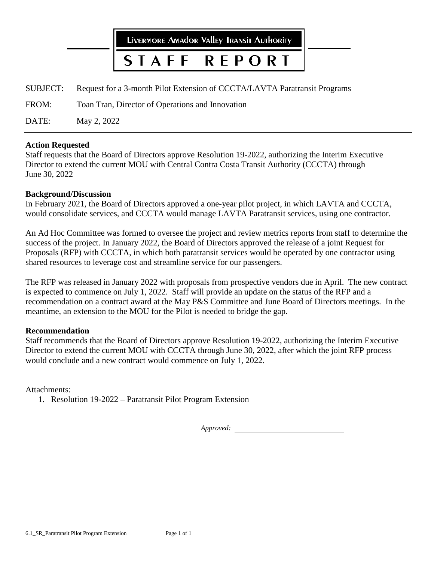

FROM: Toan Tran, Director of Operations and Innovation

DATE: May 2, 2022

# **Action Requested**

Staff requests that the Board of Directors approve Resolution 19-2022, authorizing the Interim Executive Director to extend the current MOU with Central Contra Costa Transit Authority (CCCTA) through June 30, 2022

# **Background/Discussion**

In February 2021, the Board of Directors approved a one-year pilot project, in which LAVTA and CCCTA, would consolidate services, and CCCTA would manage LAVTA Paratransit services, using one contractor.

An Ad Hoc Committee was formed to oversee the project and review metrics reports from staff to determine the success of the project. In January 2022, the Board of Directors approved the release of a joint Request for Proposals (RFP) with CCCTA, in which both paratransit services would be operated by one contractor using shared resources to leverage cost and streamline service for our passengers.

The RFP was released in January 2022 with proposals from prospective vendors due in April. The new contract is expected to commence on July 1, 2022. Staff will provide an update on the status of the RFP and a recommendation on a contract award at the May P&S Committee and June Board of Directors meetings. In the meantime, an extension to the MOU for the Pilot is needed to bridge the gap.

# **Recommendation**

Staff recommends that the Board of Directors approve Resolution 19-2022, authorizing the Interim Executive Director to extend the current MOU with CCCTA through June 30, 2022, after which the joint RFP process would conclude and a new contract would commence on July 1, 2022.

Attachments:

1. Resolution 19-2022 – Paratransit Pilot Program Extension

*Approved:*